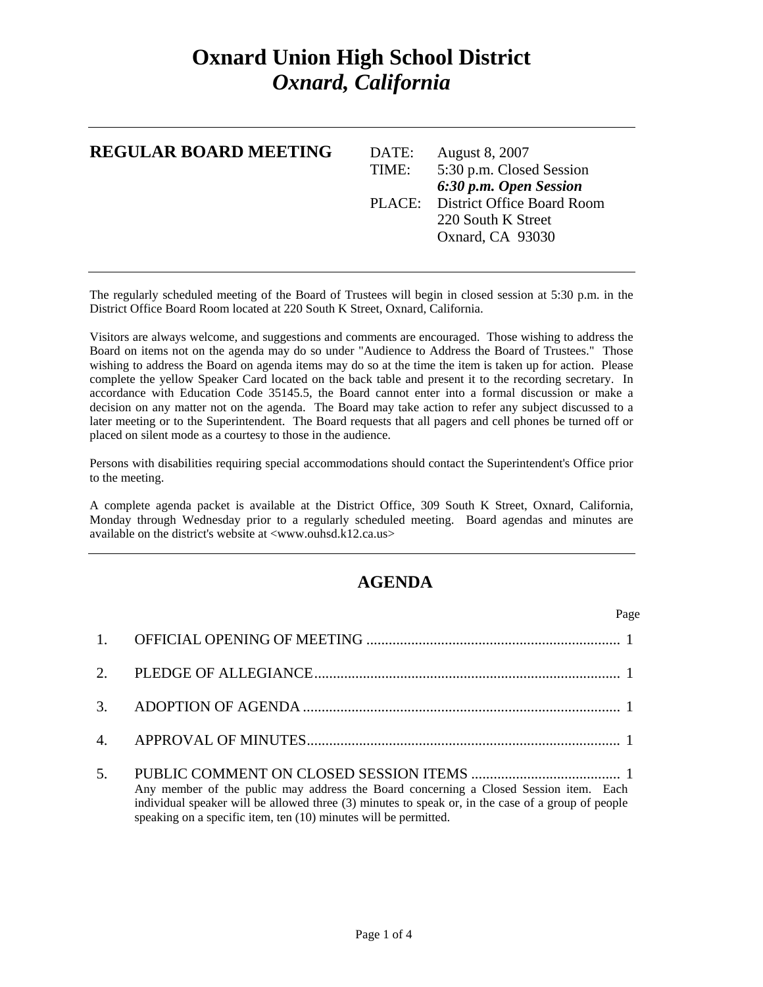## **Oxnard Union High School District**  *Oxnard, California*

| <b>REGULAR BOARD MEETING</b> | DATE:<br>TIME: | <b>August 8, 2007</b><br>5:30 p.m. Closed Session<br>6:30 p.m. Open Session |
|------------------------------|----------------|-----------------------------------------------------------------------------|
|                              |                | PLACE: District Office Board Room                                           |
|                              |                | 220 South K Street                                                          |
|                              |                | Oxnard, CA 93030                                                            |
|                              |                |                                                                             |

The regularly scheduled meeting of the Board of Trustees will begin in closed session at 5:30 p.m. in the District Office Board Room located at 220 South K Street, Oxnard, California.

Visitors are always welcome, and suggestions and comments are encouraged. Those wishing to address the Board on items not on the agenda may do so under "Audience to Address the Board of Trustees." Those wishing to address the Board on agenda items may do so at the time the item is taken up for action. Please complete the yellow Speaker Card located on the back table and present it to the recording secretary. In accordance with Education Code 35145.5, the Board cannot enter into a formal discussion or make a decision on any matter not on the agenda. The Board may take action to refer any subject discussed to a later meeting or to the Superintendent. The Board requests that all pagers and cell phones be turned off or placed on silent mode as a courtesy to those in the audience.

Persons with disabilities requiring special accommodations should contact the Superintendent's Office prior to the meeting.

A complete agenda packet is available at the District Office, 309 South K Street, Oxnard, California, Monday through Wednesday prior to a regularly scheduled meeting. Board agendas and minutes are available on the district's website at <www.ouhsd.k12.ca.us>

## **AGENDA**

| Page                                                                                                                                                                                                                                                            |
|-----------------------------------------------------------------------------------------------------------------------------------------------------------------------------------------------------------------------------------------------------------------|
|                                                                                                                                                                                                                                                                 |
|                                                                                                                                                                                                                                                                 |
|                                                                                                                                                                                                                                                                 |
|                                                                                                                                                                                                                                                                 |
| Any member of the public may address the Board concerning a Closed Session item. Each<br>individual speaker will be allowed three (3) minutes to speak or, in the case of a group of people<br>speaking on a specific item, ten (10) minutes will be permitted. |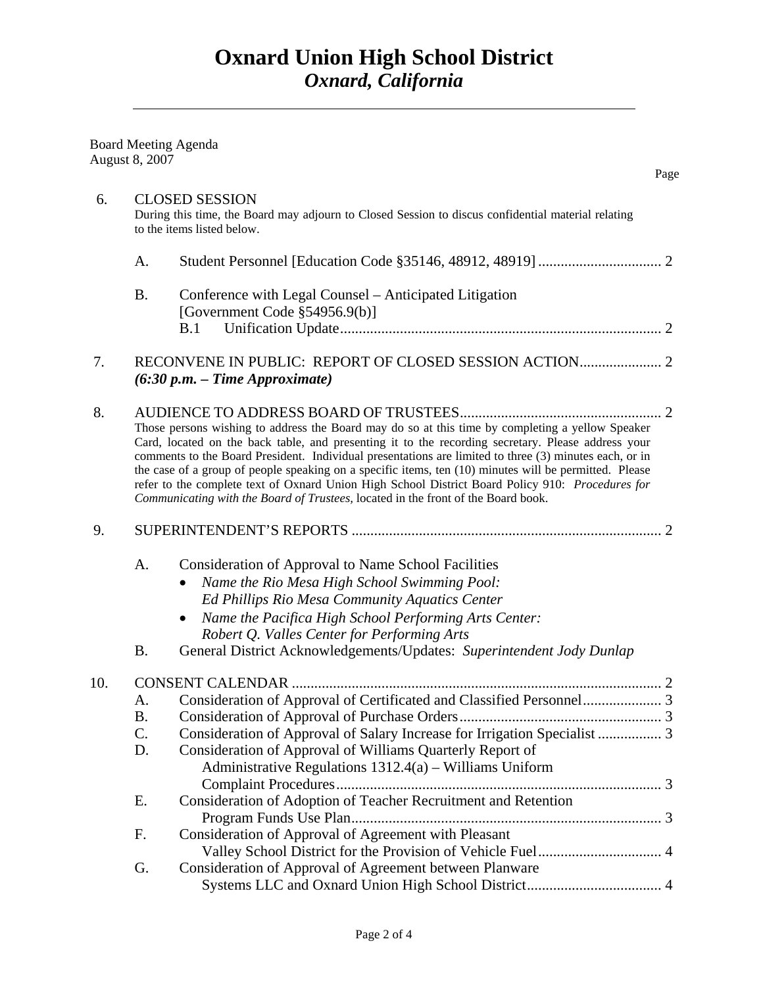|     | <b>Board Meeting Agenda</b><br>August 8, 2007 |                                                                                                                                                                                                                                                                                                                                                                                                                                                                                                                                                                                                                     | Page |
|-----|-----------------------------------------------|---------------------------------------------------------------------------------------------------------------------------------------------------------------------------------------------------------------------------------------------------------------------------------------------------------------------------------------------------------------------------------------------------------------------------------------------------------------------------------------------------------------------------------------------------------------------------------------------------------------------|------|
| 6.  |                                               | <b>CLOSED SESSION</b><br>During this time, the Board may adjourn to Closed Session to discus confidential material relating<br>to the items listed below.                                                                                                                                                                                                                                                                                                                                                                                                                                                           |      |
|     | A.                                            |                                                                                                                                                                                                                                                                                                                                                                                                                                                                                                                                                                                                                     |      |
|     | <b>B.</b>                                     | Conference with Legal Counsel – Anticipated Litigation<br>[Government Code §54956.9(b)]<br>B.1                                                                                                                                                                                                                                                                                                                                                                                                                                                                                                                      |      |
|     |                                               |                                                                                                                                                                                                                                                                                                                                                                                                                                                                                                                                                                                                                     |      |
| 7.  |                                               | $(6:30 p.m. - Time Approximate)$                                                                                                                                                                                                                                                                                                                                                                                                                                                                                                                                                                                    |      |
| 8.  |                                               | Those persons wishing to address the Board may do so at this time by completing a yellow Speaker<br>Card, located on the back table, and presenting it to the recording secretary. Please address your<br>comments to the Board President. Individual presentations are limited to three (3) minutes each, or in<br>the case of a group of people speaking on a specific items, ten (10) minutes will be permitted. Please<br>refer to the complete text of Oxnard Union High School District Board Policy 910: Procedures for<br>Communicating with the Board of Trustees, located in the front of the Board book. |      |
| 9.  |                                               |                                                                                                                                                                                                                                                                                                                                                                                                                                                                                                                                                                                                                     |      |
|     | A.<br><b>B.</b>                               | Consideration of Approval to Name School Facilities<br>Name the Rio Mesa High School Swimming Pool:<br>Ed Phillips Rio Mesa Community Aquatics Center<br>Name the Pacifica High School Performing Arts Center:<br>Robert Q. Valles Center for Performing Arts<br>General District Acknowledgements/Updates: Superintendent Jody Dunlap                                                                                                                                                                                                                                                                              |      |
|     |                                               |                                                                                                                                                                                                                                                                                                                                                                                                                                                                                                                                                                                                                     |      |
| 10. | A.<br><b>B.</b><br>C.<br>D.                   | Consideration of Approval of Salary Increase for Irrigation Specialist  3<br>Consideration of Approval of Williams Quarterly Report of<br>Administrative Regulations 1312.4(a) - Williams Uniform                                                                                                                                                                                                                                                                                                                                                                                                                   | 2    |
|     | E.                                            | Consideration of Adoption of Teacher Recruitment and Retention                                                                                                                                                                                                                                                                                                                                                                                                                                                                                                                                                      |      |
|     | F.                                            | Consideration of Approval of Agreement with Pleasant                                                                                                                                                                                                                                                                                                                                                                                                                                                                                                                                                                |      |
|     | G.                                            | Consideration of Approval of Agreement between Planware                                                                                                                                                                                                                                                                                                                                                                                                                                                                                                                                                             |      |
|     |                                               |                                                                                                                                                                                                                                                                                                                                                                                                                                                                                                                                                                                                                     |      |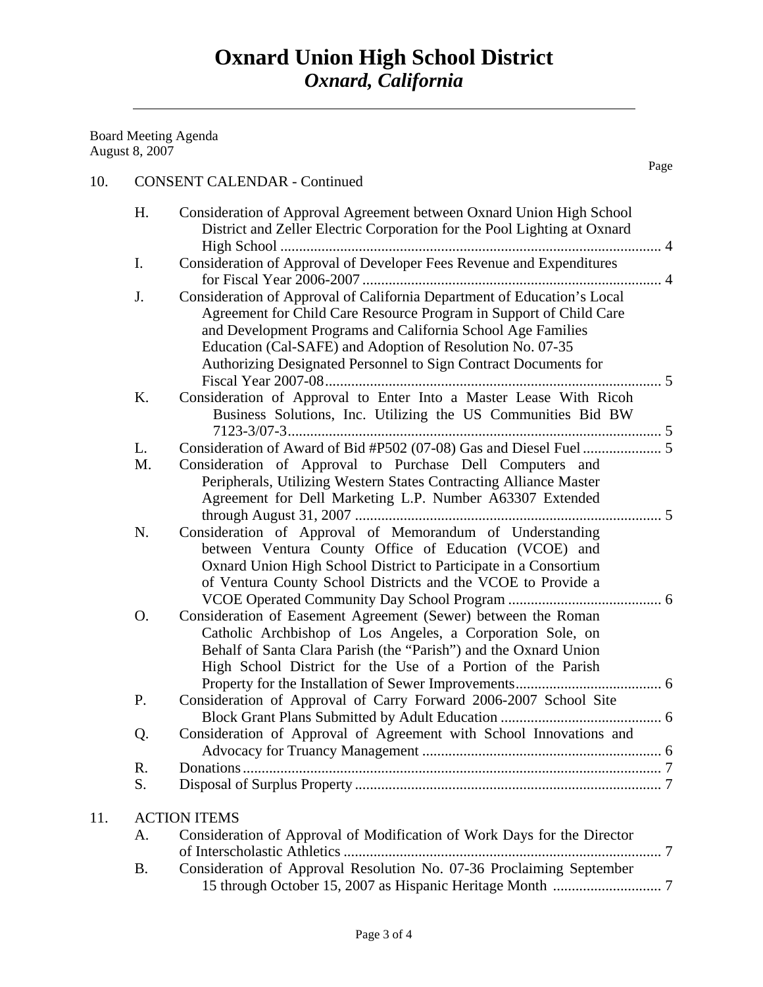Board Meeting Agenda August 8, 2007 Page **Page** 

11.

|     | H. | Consideration of Approval Agreement between Oxnard Union High School<br>District and Zeller Electric Corporation for the Pool Lighting at Oxnard                                                                                                                                                                                             |  |
|-----|----|----------------------------------------------------------------------------------------------------------------------------------------------------------------------------------------------------------------------------------------------------------------------------------------------------------------------------------------------|--|
|     |    |                                                                                                                                                                                                                                                                                                                                              |  |
|     | Ι. | Consideration of Approval of Developer Fees Revenue and Expenditures                                                                                                                                                                                                                                                                         |  |
|     | J. | Consideration of Approval of California Department of Education's Local<br>Agreement for Child Care Resource Program in Support of Child Care<br>and Development Programs and California School Age Families<br>Education (Cal-SAFE) and Adoption of Resolution No. 07-35<br>Authorizing Designated Personnel to Sign Contract Documents for |  |
|     | K. | Consideration of Approval to Enter Into a Master Lease With Ricoh<br>Business Solutions, Inc. Utilizing the US Communities Bid BW                                                                                                                                                                                                            |  |
|     | L. |                                                                                                                                                                                                                                                                                                                                              |  |
|     | M. | Consideration of Approval to Purchase Dell Computers and<br>Peripherals, Utilizing Western States Contracting Alliance Master<br>Agreement for Dell Marketing L.P. Number A63307 Extended                                                                                                                                                    |  |
|     | N. | Consideration of Approval of Memorandum of Understanding<br>between Ventura County Office of Education (VCOE) and<br>Oxnard Union High School District to Participate in a Consortium<br>of Ventura County School Districts and the VCOE to Provide a                                                                                        |  |
|     | O. | Consideration of Easement Agreement (Sewer) between the Roman<br>Catholic Archbishop of Los Angeles, a Corporation Sole, on<br>Behalf of Santa Clara Parish (the "Parish") and the Oxnard Union<br>High School District for the Use of a Portion of the Parish                                                                               |  |
|     | P. | Consideration of Approval of Carry Forward 2006-2007 School Site                                                                                                                                                                                                                                                                             |  |
|     | Q. | Consideration of Approval of Agreement with School Innovations and                                                                                                                                                                                                                                                                           |  |
|     | R. |                                                                                                                                                                                                                                                                                                                                              |  |
|     | S. |                                                                                                                                                                                                                                                                                                                                              |  |
| 11. |    | <b>ACTION ITEMS</b>                                                                                                                                                                                                                                                                                                                          |  |
|     | А. | Consideration of Approval of Modification of Work Days for the Director                                                                                                                                                                                                                                                                      |  |
|     |    |                                                                                                                                                                                                                                                                                                                                              |  |